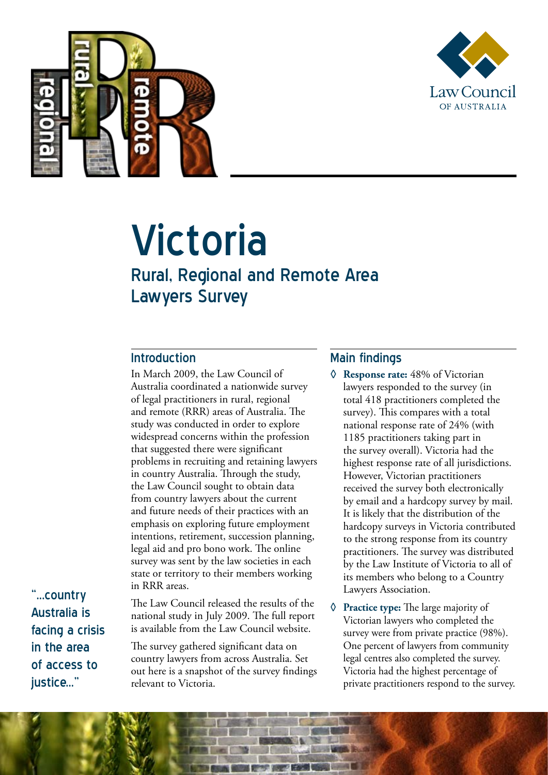



# Victoria

# Rural, Regional and Remote Area Lawyers Survey

#### Introduction

In March 2009, the Law Council of Australia coordinated a nationwide survey of legal practitioners in rural, regional and remote (RRR) areas of Australia. The study was conducted in order to explore widespread concerns within the profession that suggested there were significant problems in recruiting and retaining lawyers in country Australia. Through the study, the Law Council sought to obtain data from country lawyers about the current and future needs of their practices with an emphasis on exploring future employment intentions, retirement, succession planning, legal aid and pro bono work. The online survey was sent by the law societies in each state or territory to their members working in RRR areas.

"...country Australia is facing a crisis in the area of access to iustice..."

The Law Council released the results of the national study in July 2009. The full report is available from the Law Council website.

The survey gathered significant data on country lawyers from across Australia. Set out here is a snapshot of the survey findings relevant to Victoria.

## Main findings

**◊ Response rate:** 48% of Victorian lawyers responded to the survey (in total 418 practitioners completed the survey). This compares with a total national response rate of 24% (with 1185 practitioners taking part in the survey overall). Victoria had the highest response rate of all jurisdictions. However, Victorian practitioners received the survey both electronically by email and a hardcopy survey by mail. It is likely that the distribution of the hardcopy surveys in Victoria contributed to the strong response from its country practitioners. The survey was distributed by the Law Institute of Victoria to all of its members who belong to a Country Lawyers Association.

**◊ Practice type:** The large majority of Victorian lawyers who completed the survey were from private practice (98%). One percent of lawyers from community legal centres also completed the survey. Victoria had the highest percentage of private practitioners respond to the survey.